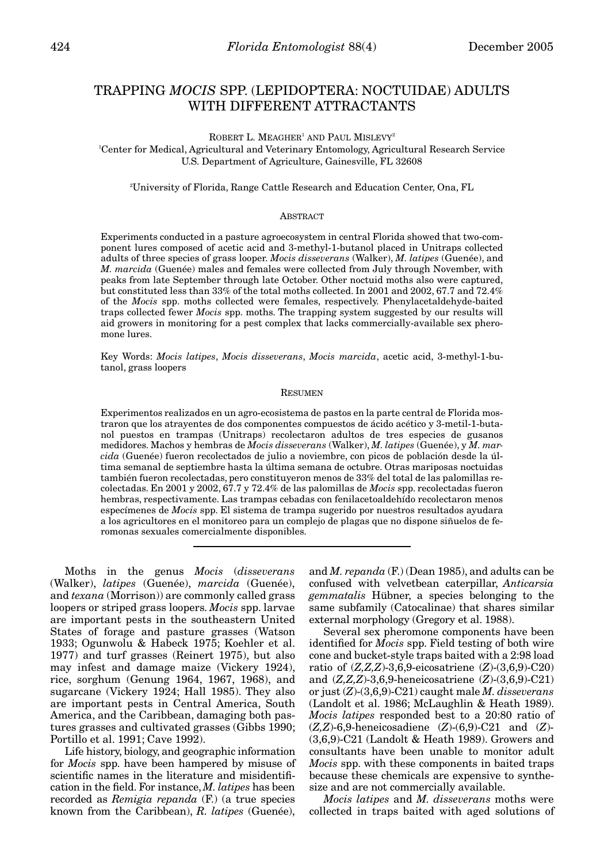# TRAPPING *MOCIS* SPP. (LEPIDOPTERA: NOCTUIDAE) ADULTS WITH DIFFERENT ATTRACTANTS

ROBERT L. MEAGHER<sup>1</sup> AND PAUL MISLEVY<sup>2</sup>

1 Center for Medical, Agricultural and Veterinary Entomology, Agricultural Research Service U.S. Department of Agriculture, Gainesville, FL 32608

2 University of Florida, Range Cattle Research and Education Center, Ona, FL

#### **ABSTRACT**

Experiments conducted in a pasture agroecosystem in central Florida showed that two-component lures composed of acetic acid and 3-methyl-1-butanol placed in Unitraps collected adults of three species of grass looper. *Mocis disseverans* (Walker), *M. latipes* (Guenée), and *M. marcida* (Guenée) males and females were collected from July through November, with peaks from late September through late October. Other noctuid moths also were captured, but constituted less than 33% of the total moths collected. In 2001 and 2002, 67.7 and 72.4% of the *Mocis* spp. moths collected were females, respectively. Phenylacetaldehyde-baited traps collected fewer *Mocis* spp. moths. The trapping system suggested by our results will aid growers in monitoring for a pest complex that lacks commercially-available sex pheromone lures.

Key Words: *Mocis latipes*, *Mocis disseverans*, *Mocis marcida*, acetic acid, 3-methyl-1-butanol, grass loopers

#### RESUMEN

Experimentos realizados en un agro-ecosistema de pastos en la parte central de Florida mostraron que los atrayentes de dos componentes compuestos de ácido acético y 3-metil-1-butanol puestos en trampas (Unitraps) recolectaron adultos de tres especies de gusanos medidores. Machos y hembras de *Mocis disseverans* (Walker), *M. latipes* (Guenée), y *M. marcida* (Guenée) fueron recolectados de julio a noviembre, con picos de población desde la última semanal de septiembre hasta la última semana de octubre. Otras mariposas noctuidas también fueron recolectadas, pero constituyeron menos de 33% del total de las palomillas recolectadas. En 2001 y 2002, 67.7 y 72.4% de las palomillas de *Mocis* spp. recolectadas fueron hembras, respectivamente. Las trampas cebadas con fenilacetoaldehído recolectaron menos especímenes de *Mocis* spp. El sistema de trampa sugerido por nuestros resultados ayudara a los agricultores en el monitoreo para un complejo de plagas que no dispone siñuelos de feromonas sexuales comercialmente disponibles.

Moths in the genus *Mocis* (*disseverans* (Walker), *latipes* (Guenée), *marcida* (Guenée), and *texana* (Morrison)) are commonly called grass loopers or striped grass loopers. *Mocis* spp. larvae are important pests in the southeastern United States of forage and pasture grasses (Watson 1933; Ogunwolu & Habeck 1975; Koehler et al. 1977) and turf grasses (Reinert 1975), but also may infest and damage maize (Vickery 1924), rice, sorghum (Genung 1964, 1967, 1968), and sugarcane (Vickery 1924; Hall 1985). They also are important pests in Central America, South America, and the Caribbean, damaging both pastures grasses and cultivated grasses (Gibbs 1990; Portillo et al. 1991; Cave 1992).

Life history, biology, and geographic information for *Mocis* spp. have been hampered by misuse of scientific names in the literature and misidentification in the field. For instance, *M. latipes* has been recorded as *Remigia repanda* (F.) (a true species known from the Caribbean), *R. latipes* (Guenée),

and *M. repanda* (F.) (Dean 1985), and adults can be confused with velvetbean caterpillar, *Anticarsia gemmatalis* Hübner, a species belonging to the same subfamily (Catocalinae) that shares similar external morphology (Gregory et al. 1988).

Several sex pheromone components have been identified for *Mocis* spp. Field testing of both wire cone and bucket-style traps baited with a 2:98 load ratio of (*Z,Z,Z*)-3,6,9-eicosatriene (*Z*)-(3,6,9)-C20) and (*Z,Z,Z*)-3,6,9-heneicosatriene (*Z*)-(3,6,9)-C21) or just (*Z*)-(3,6,9)-C21) caught male *M. disseverans* (Landolt et al. 1986; McLaughlin & Heath 1989). *Mocis latipes* responded best to a 20:80 ratio of (*Z,Z*)-6,9-heneicosadiene (*Z*)-(6,9)-C21 and (*Z*)- (3,6,9)-C21 (Landolt & Heath 1989). Growers and consultants have been unable to monitor adult *Mocis* spp. with these components in baited traps because these chemicals are expensive to synthesize and are not commercially available.

*Mocis latipes* and *M. disseverans* moths were collected in traps baited with aged solutions of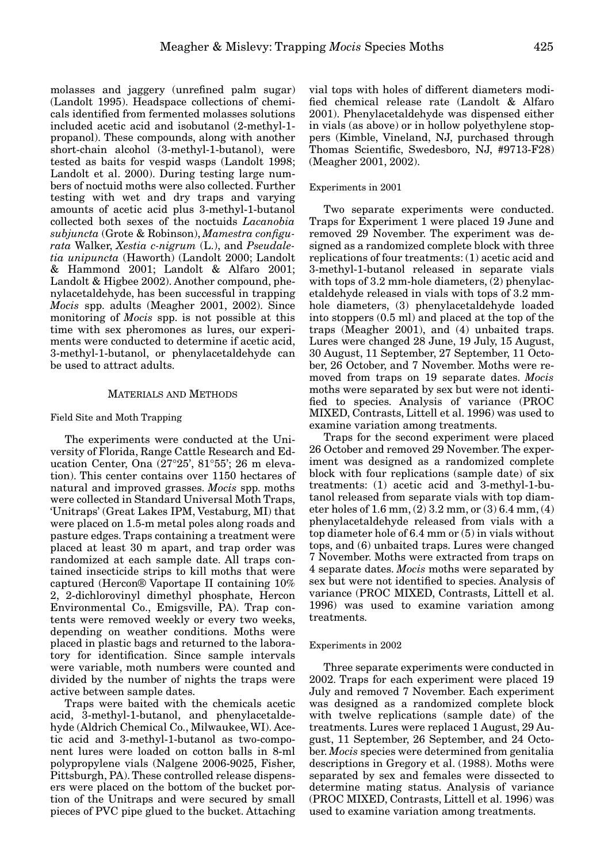molasses and jaggery (unrefined palm sugar) (Landolt 1995). Headspace collections of chemicals identified from fermented molasses solutions included acetic acid and isobutanol (2-methyl-1 propanol). These compounds, along with another short-chain alcohol (3-methyl-1-butanol), were tested as baits for vespid wasps (Landolt 1998; Landolt et al. 2000). During testing large numbers of noctuid moths were also collected. Further testing with wet and dry traps and varying amounts of acetic acid plus 3-methyl-1-butanol collected both sexes of the noctuids *Lacanobia subjuncta* (Grote & Robinson), *Mamestra configurata* Walker, *Xestia c-nigrum* (L.), and *Pseudaletia unipuncta* (Haworth) (Landolt 2000; Landolt & Hammond 2001; Landolt & Alfaro 2001; Landolt & Higbee 2002). Another compound, phenylacetaldehyde, has been successful in trapping *Mocis* spp. adults (Meagher 2001, 2002). Since monitoring of *Mocis* spp. is not possible at this time with sex pheromones as lures, our experiments were conducted to determine if acetic acid, 3-methyl-1-butanol, or phenylacetaldehyde can be used to attract adults.

## MATERIALS AND METHODS

#### Field Site and Moth Trapping

The experiments were conducted at the University of Florida, Range Cattle Research and Education Center, Ona (27°25', 81°55'; 26 m elevation). This center contains over 1150 hectares of natural and improved grasses. *Mocis* spp. moths were collected in Standard Universal Moth Traps, 'Unitraps' (Great Lakes IPM, Vestaburg, MI) that were placed on 1.5-m metal poles along roads and pasture edges. Traps containing a treatment were placed at least 30 m apart, and trap order was randomized at each sample date. All traps contained insecticide strips to kill moths that were captured (Hercon® Vaportape II containing 10% 2, 2-dichlorovinyl dimethyl phosphate, Hercon Environmental Co., Emigsville, PA). Trap contents were removed weekly or every two weeks, depending on weather conditions. Moths were placed in plastic bags and returned to the laboratory for identification. Since sample intervals were variable, moth numbers were counted and divided by the number of nights the traps were active between sample dates.

Traps were baited with the chemicals acetic acid, 3-methyl-1-butanol, and phenylacetaldehyde (Aldrich Chemical Co., Milwaukee, WI). Acetic acid and 3-methyl-1-butanol as two-component lures were loaded on cotton balls in 8-ml polypropylene vials (Nalgene 2006-9025, Fisher, Pittsburgh, PA). These controlled release dispensers were placed on the bottom of the bucket portion of the Unitraps and were secured by small pieces of PVC pipe glued to the bucket. Attaching

vial tops with holes of different diameters modified chemical release rate (Landolt & Alfaro 2001). Phenylacetaldehyde was dispensed either in vials (as above) or in hollow polyethylene stoppers (Kimble, Vineland, NJ, purchased through Thomas Scientific, Swedesboro, NJ, #9713-F28) (Meagher 2001, 2002).

#### Experiments in 2001

Two separate experiments were conducted. Traps for Experiment 1 were placed 19 June and removed 29 November. The experiment was designed as a randomized complete block with three replications of four treatments: (1) acetic acid and 3-methyl-1-butanol released in separate vials with tops of 3.2 mm-hole diameters, (2) phenylacetaldehyde released in vials with tops of 3.2 mmhole diameters, (3) phenylacetaldehyde loaded into stoppers (0.5 ml) and placed at the top of the traps (Meagher 2001), and (4) unbaited traps. Lures were changed 28 June, 19 July, 15 August, 30 August, 11 September, 27 September, 11 October, 26 October, and 7 November. Moths were removed from traps on 19 separate dates. *Mocis* moths were separated by sex but were not identified to species. Analysis of variance (PROC MIXED, Contrasts, Littell et al. 1996) was used to examine variation among treatments.

Traps for the second experiment were placed 26 October and removed 29 November. The experiment was designed as a randomized complete block with four replications (sample date) of six treatments: (1) acetic acid and 3-methyl-1-butanol released from separate vials with top diameter holes of  $1.6 \text{ mm}$ ,  $(2)$   $3.2 \text{ mm}$ , or  $(3)$   $6.4 \text{ mm}$ ,  $(4)$ phenylacetaldehyde released from vials with a top diameter hole of 6.4 mm or (5) in vials without tops, and (6) unbaited traps. Lures were changed 7 November. Moths were extracted from traps on 4 separate dates. *Mocis* moths were separated by sex but were not identified to species. Analysis of variance (PROC MIXED, Contrasts, Littell et al. 1996) was used to examine variation among treatments.

#### Experiments in 2002

Three separate experiments were conducted in 2002. Traps for each experiment were placed 19 July and removed 7 November. Each experiment was designed as a randomized complete block with twelve replications (sample date) of the treatments. Lures were replaced 1 August, 29 August, 11 September, 26 September, and 24 October. *Mocis* species were determined from genitalia descriptions in Gregory et al. (1988). Moths were separated by sex and females were dissected to determine mating status. Analysis of variance (PROC MIXED, Contrasts, Littell et al. 1996) was used to examine variation among treatments.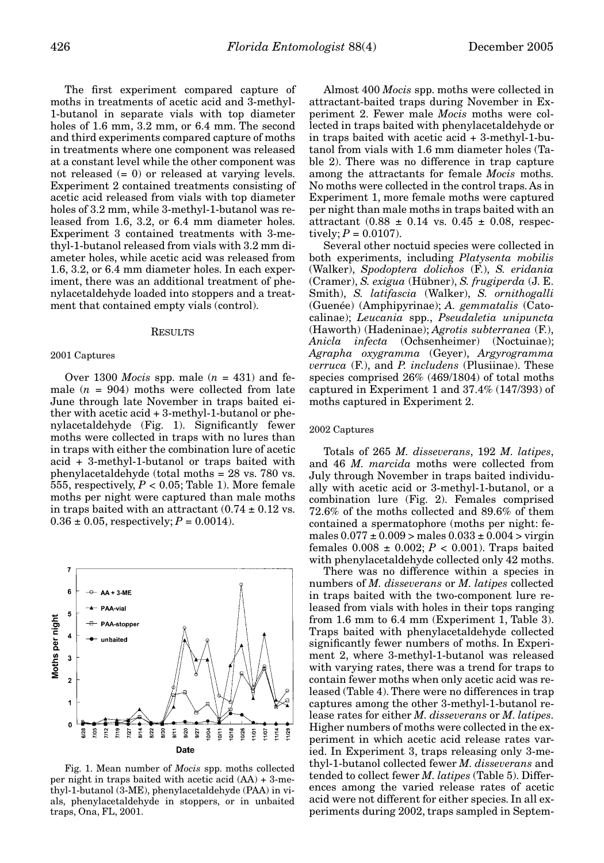The first experiment compared capture of moths in treatments of acetic acid and 3-methyl-1-butanol in separate vials with top diameter holes of 1.6 mm, 3.2 mm, or 6.4 mm. The second and third experiments compared capture of moths in treatments where one component was released at a constant level while the other component was not released  $(= 0)$  or released at varying levels. Experiment 2 contained treatments consisting of acetic acid released from vials with top diameter holes of 3.2 mm, while 3-methyl-1-butanol was released from 1.6, 3.2, or 6.4 mm diameter holes. Experiment 3 contained treatments with 3-methyl-1-butanol released from vials with 3.2 mm diameter holes, while acetic acid was released from 1.6, 3.2, or 6.4 mm diameter holes. In each experiment, there was an additional treatment of phenylacetaldehyde loaded into stoppers and a treatment that contained empty vials (control).

#### **RESULTS**

#### 2001 Captures

Over 1300 *Mocis* spp. male  $(n = 431)$  and female  $(n = 904)$  moths were collected from late June through late November in traps baited either with acetic acid + 3-methyl-1-butanol or phenylacetaldehyde (Fig. 1). Significantly fewer moths were collected in traps with no lures than in traps with either the combination lure of acetic acid + 3-methyl-1-butanol or traps baited with phenylacetaldehyde (total moths = 28 vs. 780 vs. 555, respectively,  $P < 0.05$ ; Table 1). More female moths per night were captured than male moths in traps baited with an attractant  $(0.74 \pm 0.12 \text{ vs.})$  $0.36 \pm 0.05$ , respectively;  $P = 0.0014$ ).



Fig. 1. Mean number of *Mocis* spp. moths collected per night in traps baited with acetic acid (AA) + 3-methyl-1-butanol (3-ME), phenylacetaldehyde (PAA) in vials, phenylacetaldehyde in stoppers, or in unbaited traps, Ona, FL, 2001.

Almost 400 *Mocis* spp. moths were collected in attractant-baited traps during November in Experiment 2. Fewer male *Mocis* moths were collected in traps baited with phenylacetaldehyde or in traps baited with acetic acid + 3-methyl-1-butanol from vials with 1.6 mm diameter holes (Table 2). There was no difference in trap capture among the attractants for female *Mocis* moths. No moths were collected in the control traps. As in Experiment 1, more female moths were captured per night than male moths in traps baited with an attractant  $(0.88 \pm 0.14 \text{ vs. } 0.45 \pm 0.08, \text{ respec-}$ tively;  $P = 0.0107$ ).

Several other noctuid species were collected in both experiments, including *Platysenta mobilis* (Walker), *Spodoptera dolichos* (F.), *S. eridania* (Cramer), *S. exigua* (Hübner), *S. frugiperda* (J. E. Smith), *S. latifascia* (Walker), *S. ornithogalli* (Guenée) (Amphipyrinae); *A. gemmatalis* (Catocalinae); *Leucania* spp., *Pseudaletia unipuncta* (Haworth) (Hadeninae); *Agrotis subterranea* (F.), *Anicla infecta* (Ochsenheimer) (Noctuinae); *Agrapha oxygramma* (Geyer), *Argyrogramma verruca* (F.), and *P. includens* (Plusiinae). These species comprised 26% (469/1804) of total moths captured in Experiment 1 and 37.4% (147/393) of moths captured in Experiment 2.

## 2002 Captures

Totals of 265 *M. disseverans*, 192 *M. latipes*, and 46 *M. marcida* moths were collected from July through November in traps baited individually with acetic acid or 3-methyl-1-butanol, or a combination lure (Fig. 2). Females comprised 72.6% of the moths collected and 89.6% of them contained a spermatophore (moths per night: females  $0.077 \pm 0.009$  > males  $0.033 \pm 0.004$  > virgin females 0.008 ± 0.002; *P* < 0.001). Traps baited with phenylacetaldehyde collected only 42 moths.

There was no difference within a species in numbers of *M. disseverans* or *M. latipes* collected in traps baited with the two-component lure released from vials with holes in their tops ranging from 1.6 mm to 6.4 mm (Experiment 1, Table 3). Traps baited with phenylacetaldehyde collected significantly fewer numbers of moths. In Experiment 2, where 3-methyl-1-butanol was released with varying rates, there was a trend for traps to contain fewer moths when only acetic acid was released (Table 4). There were no differences in trap captures among the other 3-methyl-1-butanol release rates for either *M. disseverans* or *M. latipes*. Higher numbers of moths were collected in the experiment in which acetic acid release rates varied. In Experiment 3, traps releasing only 3-methyl-1-butanol collected fewer *M. disseverans* and tended to collect fewer *M. latipes* (Table 5). Differences among the varied release rates of acetic acid were not different for either species. In all experiments during 2002, traps sampled in Septem-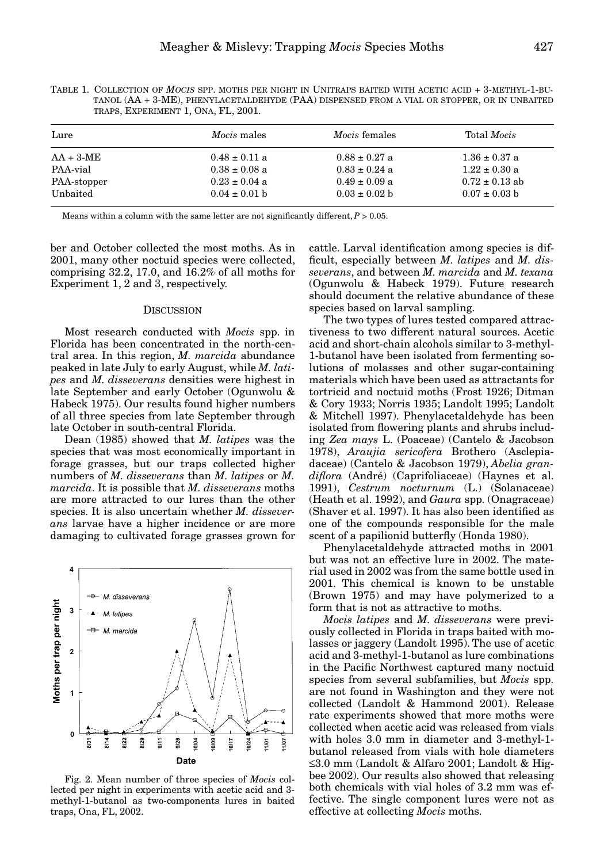| Lure        | Mocis males       | <i>Mocis</i> females | Total <i>Mocis</i> |
|-------------|-------------------|----------------------|--------------------|
| $AA + 3-ME$ | $0.48 \pm 0.11$ a | $0.88 \pm 0.27$ a    | $1.36 \pm 0.37$ a  |
| PAA-vial    | $0.38 \pm 0.08$ a | $0.83 \pm 0.24$ a    | $1.22 \pm 0.30$ a  |
| PAA-stopper | $0.23 \pm 0.04$ a | $0.49 \pm 0.09$ a    | $0.72 \pm 0.13$ ab |
| Unbaited    | $0.04 \pm 0.01$ b | $0.03 \pm 0.02$ b    | $0.07 \pm 0.03$ b  |

TABLE 1. COLLECTION OF *MOCIS* SPP. MOTHS PER NIGHT IN UNITRAPS BAITED WITH ACETIC ACID + 3-METHYL-1-BU-TANOL (AA + 3-ME), PHENYLACETALDEHYDE (PAA) DISPENSED FROM A VIAL OR STOPPER, OR IN UNBAITED TRAPS, EXPERIMENT 1, ONA, FL, 2001.

Means within a column with the same letter are not significantly different,  $P > 0.05$ .

ber and October collected the most moths. As in 2001, many other noctuid species were collected, comprising 32.2, 17.0, and 16.2% of all moths for Experiment 1, 2 and 3, respectively.

#### **DISCUSSION**

Most research conducted with *Mocis* spp. in Florida has been concentrated in the north-central area. In this region, *M. marcida* abundance peaked in late July to early August, while *M. latipes* and *M. disseverans* densities were highest in late September and early October (Ogunwolu & Habeck 1975). Our results found higher numbers of all three species from late September through late October in south-central Florida.

Dean (1985) showed that *M. latipes* was the species that was most economically important in forage grasses, but our traps collected higher numbers of *M. disseverans* than *M. latipes* or *M. marcida*. It is possible that *M. disseverans* moths are more attracted to our lures than the other species. It is also uncertain whether *M. disseverans* larvae have a higher incidence or are more damaging to cultivated forage grasses grown for



Fig. 2. Mean number of three species of *Mocis* collected per night in experiments with acetic acid and 3 methyl-1-butanol as two-components lures in baited traps, Ona, FL, 2002.

cattle. Larval identification among species is difficult, especially between *M. latipes* and *M. disseverans*, and between *M. marcida* and *M. texana* (Ogunwolu & Habeck 1979). Future research should document the relative abundance of these species based on larval sampling.

The two types of lures tested compared attractiveness to two different natural sources. Acetic acid and short-chain alcohols similar to 3-methyl-1-butanol have been isolated from fermenting solutions of molasses and other sugar-containing materials which have been used as attractants for tortricid and noctuid moths (Frost 1926; Ditman & Cory 1933; Norris 1935; Landolt 1995; Landolt & Mitchell 1997). Phenylacetaldehyde has been isolated from flowering plants and shrubs including *Zea mays* L. (Poaceae) (Cantelo & Jacobson 1978), *Araujia sericofera* Brothero (Asclepiadaceae) (Cantelo & Jacobson 1979), *Abelia grandiflora* (André) (Caprifoliaceae) (Haynes et al. 1991), *Cestrum nocturnum* (L.) (Solanaceae) (Heath et al. 1992), and *Gaura* spp. (Onagraceae) (Shaver et al. 1997). It has also been identified as one of the compounds responsible for the male scent of a papilionid butterfly (Honda 1980).

Phenylacetaldehyde attracted moths in 2001 but was not an effective lure in 2002. The material used in 2002 was from the same bottle used in 2001. This chemical is known to be unstable (Brown 1975) and may have polymerized to a form that is not as attractive to moths.

*Mocis latipes* and *M. disseverans* were previously collected in Florida in traps baited with molasses or jaggery (Landolt 1995). The use of acetic acid and 3-methyl-1-butanol as lure combinations in the Pacific Northwest captured many noctuid species from several subfamilies, but *Mocis* spp. are not found in Washington and they were not collected (Landolt & Hammond 2001). Release rate experiments showed that more moths were collected when acetic acid was released from vials with holes 3.0 mm in diameter and 3-methyl-1 butanol released from vials with hole diameters ≤3.0 mm (Landolt & Alfaro 2001; Landolt & Higbee 2002). Our results also showed that releasing both chemicals with vial holes of 3.2 mm was effective. The single component lures were not as effective at collecting *Mocis* moths.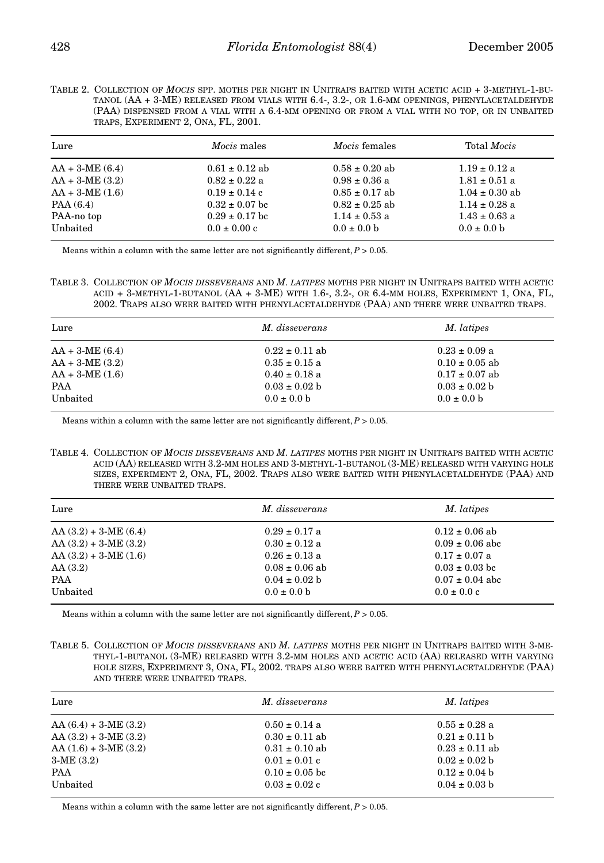| TABLE 2. COLLECTION OF MOCIS SPP. MOTHS PER NIGHT IN UNITRAPS BAITED WITH ACETIC ACID + 3-METHYL-1-BU- |
|--------------------------------------------------------------------------------------------------------|
| TANOL (AA + 3-ME) RELEASED FROM VIALS WITH 6.4-, 3.2-, OR 1.6-MM OPENINGS, PHENYLACETALDEHYDE          |
| (PAA) DISPENSED FROM A VIAL WITH A 6.4-MM OPENING OR FROM A VIAL WITH NO TOP, OR IN UNBAITED           |
| TRAPS, EXPERIMENT 2, ONA, FL, 2001.                                                                    |

| Lure             | <i>Mocis</i> males | <i>Mocis</i> females | Total <i>Mocis</i> |
|------------------|--------------------|----------------------|--------------------|
| $AA + 3-ME(6.4)$ | $0.61 \pm 0.12$ ab | $0.58 \pm 0.20$ ab   | $1.19 \pm 0.12$ a  |
| $AA + 3-ME(3.2)$ | $0.82 \pm 0.22$ a  | $0.98 \pm 0.36$ a    | $1.81 \pm 0.51$ a  |
| $AA + 3-ME(1.6)$ | $0.19 \pm 0.14$ c  | $0.85 \pm 0.17$ ab   | $1.04 \pm 0.30$ ab |
| PAA(6.4)         | $0.32 \pm 0.07$ bc | $0.82 \pm 0.25$ ab   | $1.14 \pm 0.28$ a  |
| PAA-no top       | $0.29 \pm 0.17$ bc | $1.14 \pm 0.53$ a    | $1.43 \pm 0.63$ a  |
| Unbaited         | $0.0 \pm 0.00$ c   | $0.0 \pm 0.0 b$      | $0.0 \pm 0.0 b$    |

Means within a column with the same letter are not significantly different,  $P > 0.05$ .

TABLE 3. COLLECTION OF *MOCIS DISSEVERANS* AND *M. LATIPES* MOTHS PER NIGHT IN UNITRAPS BAITED WITH ACETIC ACID + 3-METHYL-1-BUTANOL (AA + 3-ME) WITH 1.6-, 3.2-, OR 6.4-MM HOLES, EXPERIMENT 1, ONA, FL, 2002. TRAPS ALSO WERE BAITED WITH PHENYLACETALDEHYDE (PAA) AND THERE WERE UNBAITED TRAPS.

| Lure             | M. disseverans     | M. latipes         |
|------------------|--------------------|--------------------|
| $AA + 3-ME(6.4)$ | $0.22 \pm 0.11$ ab | $0.23 \pm 0.09$ a  |
| $AA + 3-ME(3.2)$ | $0.35 \pm 0.15$ a  | $0.10 \pm 0.05$ ab |
| $AA + 3-ME(1.6)$ | $0.40 \pm 0.18$ a  | $0.17 \pm 0.07$ ab |
| <b>PAA</b>       | $0.03 \pm 0.02$ b  | $0.03 \pm 0.02$ b  |
| Unbaited         | $0.0 \pm 0.0$ b    | $0.0 \pm 0.0$ b    |

Means within a column with the same letter are not significantly different,  $P > 0.05$ .

TABLE 4. COLLECTION OF *MOCIS DISSEVERANS* AND *M. LATIPES* MOTHS PER NIGHT IN UNITRAPS BAITED WITH ACETIC ACID (AA) RELEASED WITH 3.2-MM HOLES AND 3-METHYL-1-BUTANOL (3-ME) RELEASED WITH VARYING HOLE SIZES, EXPERIMENT 2, ONA, FL, 2002. TRAPS ALSO WERE BAITED WITH PHENYLACETALDEHYDE (PAA) AND THERE WERE UNBAITED TRAPS.

| Lure                  | M. disseverans     | M. latipes          |
|-----------------------|--------------------|---------------------|
| $AA(3.2) + 3-ME(6.4)$ | $0.29 \pm 0.17$ a  | $0.12 \pm 0.06$ ab  |
| $AA(3.2) + 3-ME(3.2)$ | $0.30 \pm 0.12$ a  | $0.09 \pm 0.06$ abc |
| $AA(3.2) + 3-ME(1.6)$ | $0.26 \pm 0.13$ a  | $0.17 \pm 0.07$ a   |
| AA(3.2)               | $0.08 \pm 0.06$ ab | $0.03 \pm 0.03$ bc  |
| PAA                   | $0.04 \pm 0.02$ b  | $0.07 \pm 0.04$ abc |
| Unbaited              | $0.0 \pm 0.0 b$    | $0.0 \pm 0.0 c$     |

Means within a column with the same letter are not significantly different,  $P > 0.05$ .

TABLE 5. COLLECTION OF *MOCIS DISSEVERANS* AND *M. LATIPES* MOTHS PER NIGHT IN UNITRAPS BAITED WITH 3-ME-THYL-1-BUTANOL (3-ME) RELEASED WITH 3.2-MM HOLES AND ACETIC ACID (AA) RELEASED WITH VARYING HOLE SIZES, EXPERIMENT 3, ONA, FL, 2002. TRAPS ALSO WERE BAITED WITH PHENYLACETALDEHYDE (PAA) AND THERE WERE UNBAITED TRAPS.

| Lure                  | M. disseverans     | M. latipes         |
|-----------------------|--------------------|--------------------|
| $AA(6.4) + 3-ME(3.2)$ | $0.50 \pm 0.14$ a  | $0.55 \pm 0.28$ a  |
| $AA(3.2) + 3-ME(3.2)$ | $0.30 \pm 0.11$ ab | $0.21 \pm 0.11$ b  |
| $AA(1.6) + 3-ME(3.2)$ | $0.31 \pm 0.10$ ab | $0.23 \pm 0.11$ ab |
| $3-ME(3.2)$           | $0.01 \pm 0.01$ c  | $0.02 \pm 0.02$ b  |
| PAA                   | $0.10 \pm 0.05$ bc | $0.12 \pm 0.04$ b  |
| Unbaited              | $0.03 \pm 0.02$ c  | $0.04 \pm 0.03$ b  |

Means within a column with the same letter are not significantly different,  $P > 0.05$ .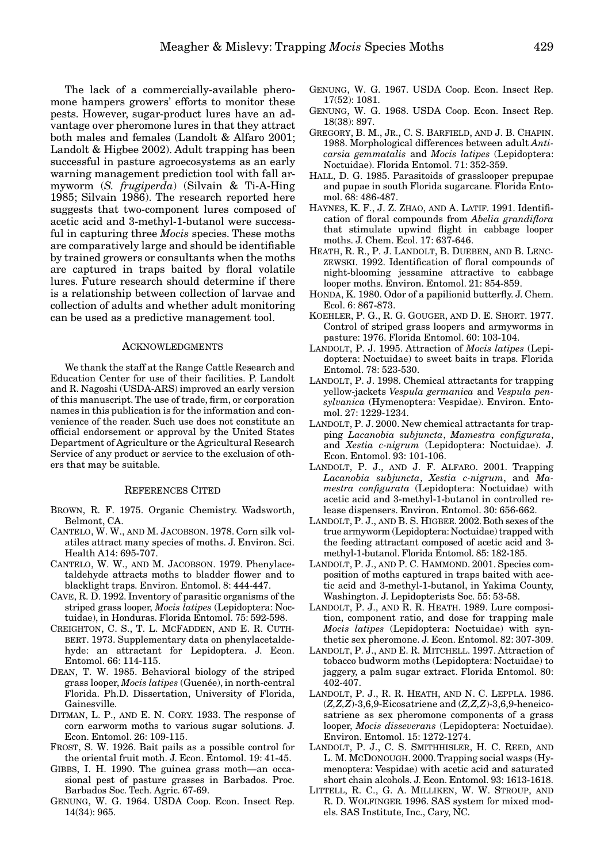The lack of a commercially-available pheromone hampers growers' efforts to monitor these pests. However, sugar-product lures have an advantage over pheromone lures in that they attract both males and females (Landolt & Alfaro 2001; Landolt & Higbee 2002). Adult trapping has been successful in pasture agroecosystems as an early warning management prediction tool with fall armyworm (*S. frugiperda*) (Silvain & Ti-A-Hing 1985; Silvain 1986). The research reported here suggests that two-component lures composed of acetic acid and 3-methyl-1-butanol were successful in capturing three *Mocis* species. These moths are comparatively large and should be identifiable by trained growers or consultants when the moths are captured in traps baited by floral volatile lures. Future research should determine if there is a relationship between collection of larvae and collection of adults and whether adult monitoring can be used as a predictive management tool.

## ACKNOWLEDGMENTS

We thank the staff at the Range Cattle Research and Education Center for use of their facilities. P. Landolt and R. Nagoshi (USDA-ARS) improved an early version of this manuscript. The use of trade, firm, or corporation names in this publication is for the information and convenience of the reader. Such use does not constitute an official endorsement or approval by the United States Department of Agriculture or the Agricultural Research Service of any product or service to the exclusion of others that may be suitable.

## REFERENCES CITED

- BROWN, R. F. 1975. Organic Chemistry. Wadsworth, Belmont, CA.
- CANTELO, W. W., AND M. JACOBSON. 1978. Corn silk volatiles attract many species of moths. J. Environ. Sci. Health A14: 695-707.
- CANTELO, W. W., AND M. JACOBSON. 1979. Phenylacetaldehyde attracts moths to bladder flower and to blacklight traps. Environ. Entomol. 8: 444-447.
- CAVE, R. D. 1992. Inventory of parasitic organisms of the striped grass looper, *Mocis latipes* (Lepidoptera: Noctuidae), in Honduras. Florida Entomol. 75: 592-598.
- CREIGHTON, C. S., T. L. MCFADDEN, AND E. R. CUTH-BERT. 1973. Supplementary data on phenylacetaldehyde: an attractant for Lepidoptera. J. Econ. Entomol. 66: 114-115.
- DEAN, T. W. 1985. Behavioral biology of the striped grass looper, *Mocis latipes* (Guenée), in north-central Florida. Ph.D. Dissertation, University of Florida, Gainesville.
- DITMAN, L. P., AND E. N. CORY. 1933. The response of corn earworm moths to various sugar solutions. J. Econ. Entomol. 26: 109-115.
- FROST, S. W. 1926. Bait pails as a possible control for the oriental fruit moth. J. Econ. Entomol. 19: 41-45.
- GIBBS, I. H. 1990. The guinea grass moth—an occasional pest of pasture grasses in Barbados. Proc. Barbados Soc. Tech. Agric. 67-69.
- GENUNG, W. G. 1964. USDA Coop. Econ. Insect Rep. 14(34): 965.
- GENUNG, W. G. 1967. USDA Coop. Econ. Insect Rep. 17(52): 1081.
- GENUNG, W. G. 1968. USDA Coop. Econ. Insect Rep. 18(38): 897.
- GREGORY, B. M., JR., C. S. BARFIELD, AND J. B. CHAPIN. 1988. Morphological differences between adult *Anticarsia gemmatalis* and *Mocis latipes* (Lepidoptera: Noctuidae). Florida Entomol. 71: 352-359.
- HALL, D. G. 1985. Parasitoids of grasslooper prepupae and pupae in south Florida sugarcane. Florida Entomol. 68: 486-487.
- HAYNES, K. F., J. Z. ZHAO, AND A. LATIF. 1991. Identification of floral compounds from *Abelia grandiflora* that stimulate upwind flight in cabbage looper moths. J. Chem. Ecol. 17: 637-646.
- HEATH, R. R., P. J. LANDOLT, B. DUEBEN, AND B. LENC-ZEWSKI. 1992. Identification of floral compounds of night-blooming jessamine attractive to cabbage looper moths. Environ. Entomol. 21: 854-859.
- HONDA, K. 1980. Odor of a papilionid butterfly. J. Chem. Ecol. 6: 867-873.
- KOEHLER, P. G., R. G. GOUGER, AND D. E. SHORT. 1977. Control of striped grass loopers and armyworms in pasture: 1976. Florida Entomol. 60: 103-104.
- LANDOLT, P. J. 1995. Attraction of *Mocis latipes* (Lepidoptera: Noctuidae) to sweet baits in traps. Florida Entomol. 78: 523-530.
- LANDOLT, P. J. 1998. Chemical attractants for trapping yellow-jackets *Vespula germanica* and *Vespula pensylvanica* (Hymenoptera: Vespidae). Environ. Entomol. 27: 1229-1234.
- LANDOLT, P. J. 2000. New chemical attractants for trapping *Lacanobia subjuncta*, *Mamestra configurata*, and *Xestia c-nigrum* (Lepidoptera: Noctuidae). J. Econ. Entomol. 93: 101-106.
- LANDOLT, P. J., AND J. F. ALFARO. 2001. Trapping *Lacanobia subjuncta*, *Xestia c-nigrum*, and *Mamestra configurata* (Lepidoptera: Noctuidae) with acetic acid and 3-methyl-1-butanol in controlled release dispensers. Environ. Entomol. 30: 656-662.
- LANDOLT, P. J., AND B. S. HIGBEE. 2002. Both sexes of the true armyworm (Lepidoptera: Noctuidae) trapped with the feeding attractant composed of acetic acid and 3 methyl-1-butanol. Florida Entomol. 85: 182-185.
- LANDOLT, P. J., AND P. C. HAMMOND. 2001. Species composition of moths captured in traps baited with acetic acid and 3-methyl-1-butanol, in Yakima County, Washington. J. Lepidopterists Soc. 55: 53-58.
- LANDOLT, P. J., AND R. R. HEATH. 1989. Lure composition, component ratio, and dose for trapping male *Mocis latipes* (Lepidoptera: Noctuidae) with synthetic sex pheromone. J. Econ. Entomol. 82: 307-309.
- LANDOLT, P. J., AND E. R. MITCHELL. 1997. Attraction of tobacco budworm moths (Lepidoptera: Noctuidae) to jaggery, a palm sugar extract. Florida Entomol. 80: 402-407.
- LANDOLT, P. J., R. R. HEATH, AND N. C. LEPPLA. 1986. (*Z,Z,Z*)-3,6,9-Eicosatriene and (*Z,Z,Z*)-3,6,9-heneicosatriene as sex pheromone components of a grass looper, *Mocis disseverans* (Lepidoptera: Noctuidae). Environ. Entomol. 15: 1272-1274.
- LANDOLT, P. J., C. S. SMITHHISLER, H. C. REED, AND L. M. MCDONOUGH. 2000. Trapping social wasps (Hymenoptera: Vespidae) with acetic acid and saturated short chain alcohols. J. Econ. Entomol. 93: 1613-1618.
- LITTELL, R. C., G. A. MILLIKEN, W. W. STROUP, AND R. D. WOLFINGER. 1996. SAS system for mixed models. SAS Institute, Inc., Cary, NC.